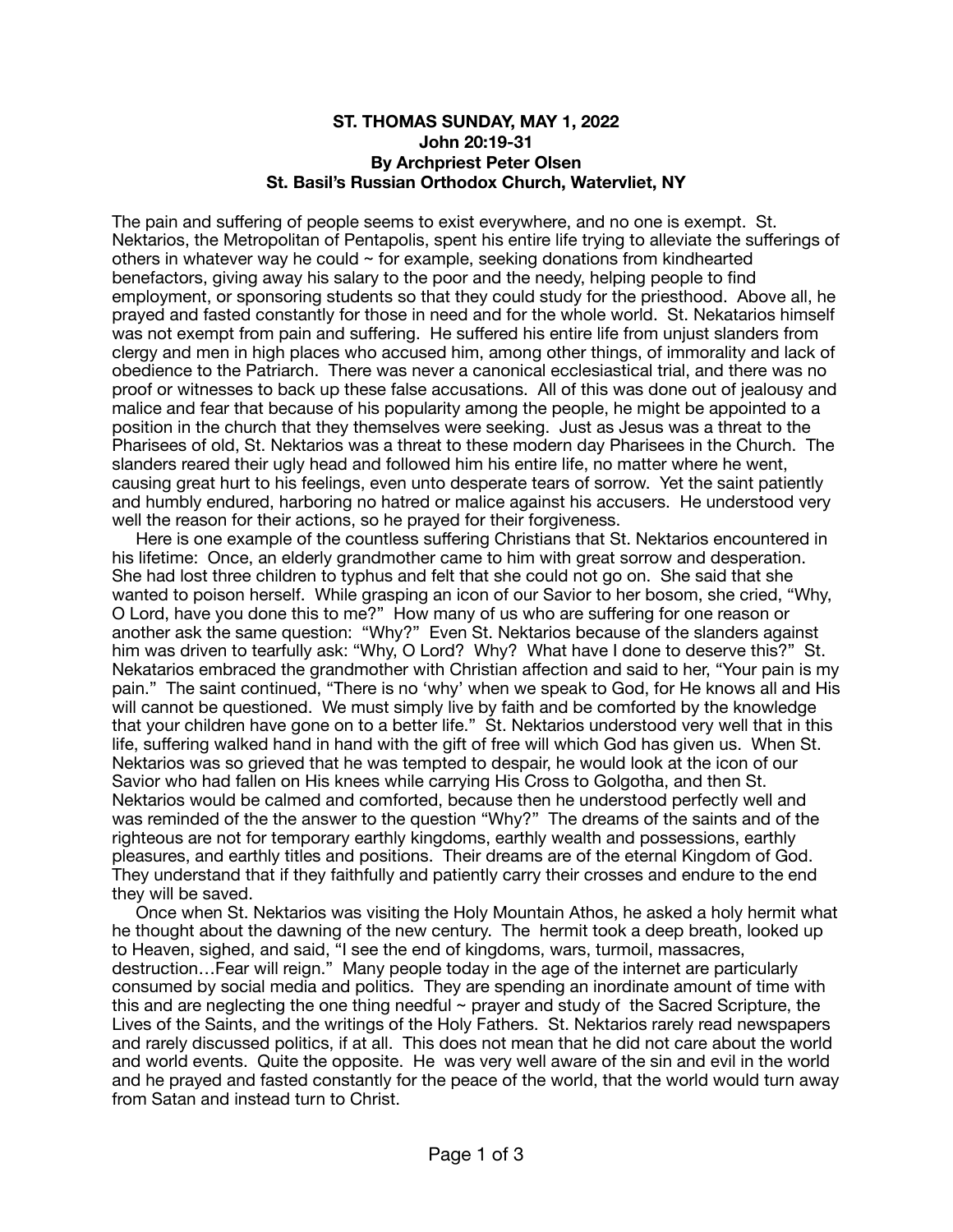## **ST. THOMAS SUNDAY, MAY 1, 2022 John 20:19-31 By Archpriest Peter Olsen St. Basil's Russian Orthodox Church, Watervliet, NY**

The pain and suffering of people seems to exist everywhere, and no one is exempt. St. Nektarios, the Metropolitan of Pentapolis, spent his entire life trying to alleviate the sufferings of others in whatever way he could  $\sim$  for example, seeking donations from kindhearted benefactors, giving away his salary to the poor and the needy, helping people to find employment, or sponsoring students so that they could study for the priesthood. Above all, he prayed and fasted constantly for those in need and for the whole world. St. Nekatarios himself was not exempt from pain and suffering. He suffered his entire life from unjust slanders from clergy and men in high places who accused him, among other things, of immorality and lack of obedience to the Patriarch. There was never a canonical ecclesiastical trial, and there was no proof or witnesses to back up these false accusations. All of this was done out of jealousy and malice and fear that because of his popularity among the people, he might be appointed to a position in the church that they themselves were seeking. Just as Jesus was a threat to the Pharisees of old, St. Nektarios was a threat to these modern day Pharisees in the Church. The slanders reared their ugly head and followed him his entire life, no matter where he went, causing great hurt to his feelings, even unto desperate tears of sorrow. Yet the saint patiently and humbly endured, harboring no hatred or malice against his accusers. He understood very well the reason for their actions, so he prayed for their forgiveness.

 Here is one example of the countless suffering Christians that St. Nektarios encountered in his lifetime: Once, an elderly grandmother came to him with great sorrow and desperation. She had lost three children to typhus and felt that she could not go on. She said that she wanted to poison herself. While grasping an icon of our Savior to her bosom, she cried, "Why, O Lord, have you done this to me?" How many of us who are suffering for one reason or another ask the same question: "Why?" Even St. Nektarios because of the slanders against him was driven to tearfully ask: "Why, O Lord? Why? What have I done to deserve this?" St. Nekatarios embraced the grandmother with Christian affection and said to her, "Your pain is my pain." The saint continued, "There is no 'why' when we speak to God, for He knows all and His will cannot be questioned. We must simply live by faith and be comforted by the knowledge that your children have gone on to a better life." St. Nektarios understood very well that in this life, suffering walked hand in hand with the gift of free will which God has given us. When St. Nektarios was so grieved that he was tempted to despair, he would look at the icon of our Savior who had fallen on His knees while carrying His Cross to Golgotha, and then St. Nektarios would be calmed and comforted, because then he understood perfectly well and was reminded of the the answer to the question "Why?" The dreams of the saints and of the righteous are not for temporary earthly kingdoms, earthly wealth and possessions, earthly pleasures, and earthly titles and positions. Their dreams are of the eternal Kingdom of God. They understand that if they faithfully and patiently carry their crosses and endure to the end they will be saved.

 Once when St. Nektarios was visiting the Holy Mountain Athos, he asked a holy hermit what he thought about the dawning of the new century. The hermit took a deep breath, looked up to Heaven, sighed, and said, "I see the end of kingdoms, wars, turmoil, massacres, destruction…Fear will reign." Many people today in the age of the internet are particularly consumed by social media and politics. They are spending an inordinate amount of time with this and are neglecting the one thing needful  $\sim$  prayer and study of the Sacred Scripture, the Lives of the Saints, and the writings of the Holy Fathers. St. Nektarios rarely read newspapers and rarely discussed politics, if at all. This does not mean that he did not care about the world and world events. Quite the opposite. He was very well aware of the sin and evil in the world and he prayed and fasted constantly for the peace of the world, that the world would turn away from Satan and instead turn to Christ.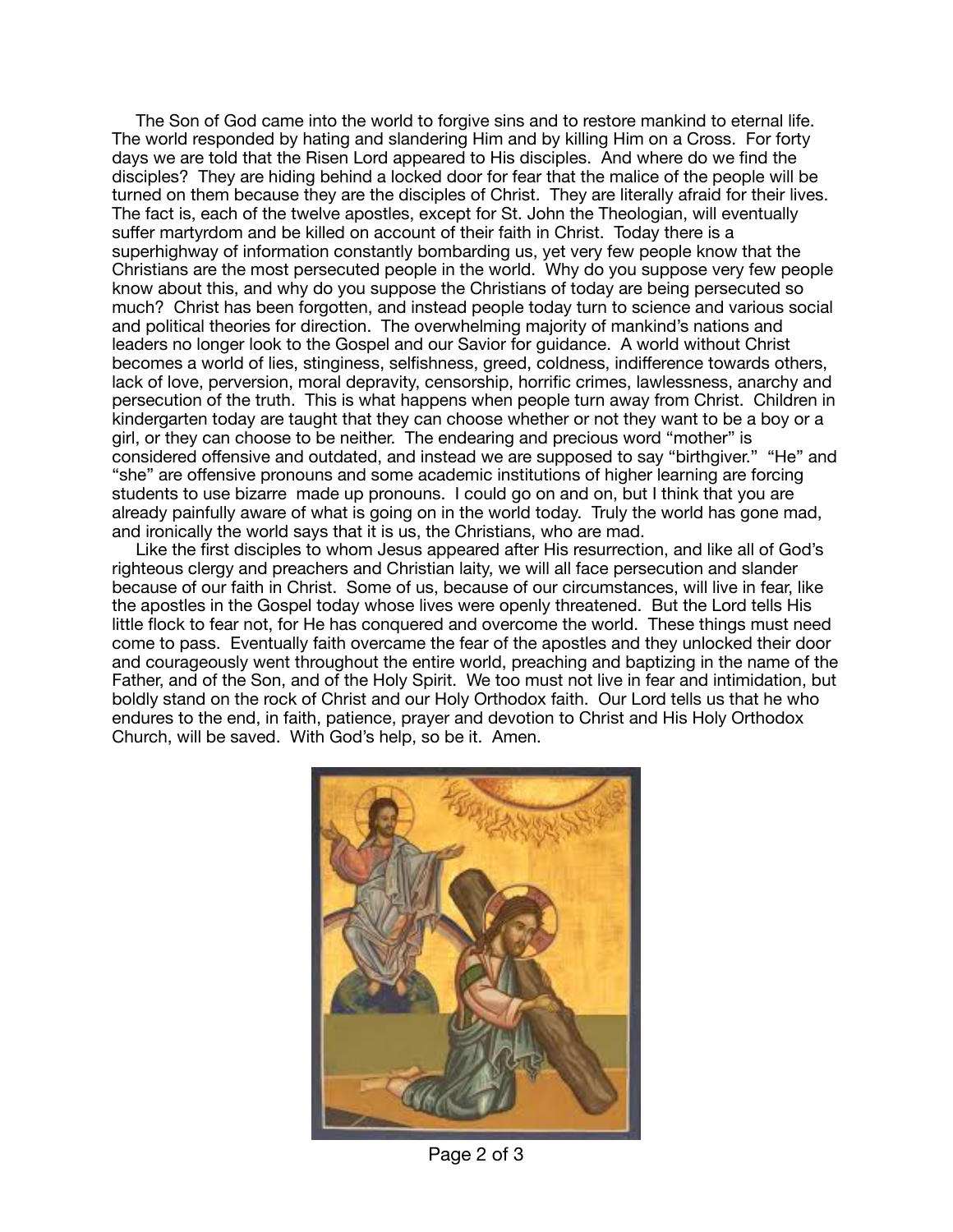The Son of God came into the world to forgive sins and to restore mankind to eternal life. The world responded by hating and slandering Him and by killing Him on a Cross. For forty days we are told that the Risen Lord appeared to His disciples. And where do we find the disciples? They are hiding behind a locked door for fear that the malice of the people will be turned on them because they are the disciples of Christ. They are literally afraid for their lives. The fact is, each of the twelve apostles, except for St. John the Theologian, will eventually suffer martyrdom and be killed on account of their faith in Christ. Today there is a superhighway of information constantly bombarding us, yet very few people know that the Christians are the most persecuted people in the world. Why do you suppose very few people know about this, and why do you suppose the Christians of today are being persecuted so much? Christ has been forgotten, and instead people today turn to science and various social and political theories for direction. The overwhelming majority of mankind's nations and leaders no longer look to the Gospel and our Savior for guidance. A world without Christ becomes a world of lies, stinginess, selfishness, greed, coldness, indifference towards others, lack of love, perversion, moral depravity, censorship, horrific crimes, lawlessness, anarchy and persecution of the truth. This is what happens when people turn away from Christ. Children in kindergarten today are taught that they can choose whether or not they want to be a boy or a girl, or they can choose to be neither. The endearing and precious word "mother" is considered offensive and outdated, and instead we are supposed to say "birthgiver." "He" and "she" are offensive pronouns and some academic institutions of higher learning are forcing students to use bizarre made up pronouns. I could go on and on, but I think that you are already painfully aware of what is going on in the world today. Truly the world has gone mad, and ironically the world says that it is us, the Christians, who are mad.

 Like the first disciples to whom Jesus appeared after His resurrection, and like all of God's righteous clergy and preachers and Christian laity, we will all face persecution and slander because of our faith in Christ. Some of us, because of our circumstances, will live in fear, like the apostles in the Gospel today whose lives were openly threatened. But the Lord tells His little flock to fear not, for He has conquered and overcome the world. These things must need come to pass. Eventually faith overcame the fear of the apostles and they unlocked their door and courageously went throughout the entire world, preaching and baptizing in the name of the Father, and of the Son, and of the Holy Spirit. We too must not live in fear and intimidation, but boldly stand on the rock of Christ and our Holy Orthodox faith. Our Lord tells us that he who endures to the end, in faith, patience, prayer and devotion to Christ and His Holy Orthodox Church, will be saved. With God's help, so be it. Amen.



Page 2 of 3